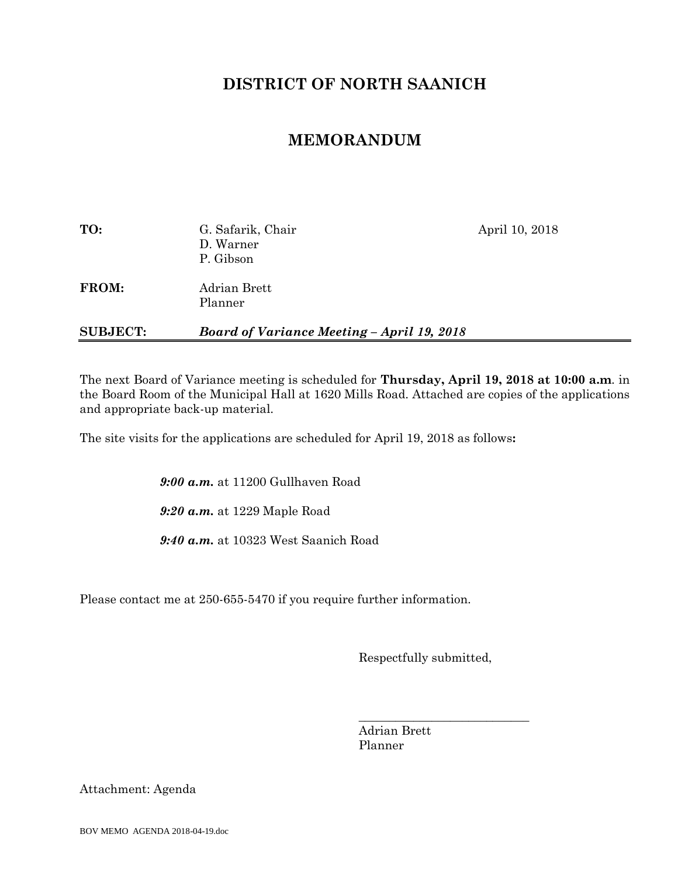# **DISTRICT OF NORTH SAANICH**

## **MEMORANDUM**

| TO:             | G. Safarik, Chair<br>D. Warner<br>P. Gibson       | April 10, 2018 |
|-----------------|---------------------------------------------------|----------------|
| FROM:           | Adrian Brett<br>Planner                           |                |
| <b>SUBJECT:</b> | <b>Board of Variance Meeting - April 19, 2018</b> |                |

The next Board of Variance meeting is scheduled for **Thursday, April 19, 2018 at 10:00 a.m**. in the Board Room of the Municipal Hall at 1620 Mills Road. Attached are copies of the applications and appropriate back-up material.

The site visits for the applications are scheduled for April 19, 2018 as follows**:**

*9:00 a.m.* at 11200 Gullhaven Road

*9:20 a.m.* at 1229 Maple Road

*9:40 a.m.* at 10323 West Saanich Road

Please contact me at 250-655-5470 if you require further information.

Respectfully submitted,

\_\_\_\_\_\_\_\_\_\_\_\_\_\_\_\_\_\_\_\_\_\_\_\_\_\_\_\_

Adrian Brett Planner

Attachment: Agenda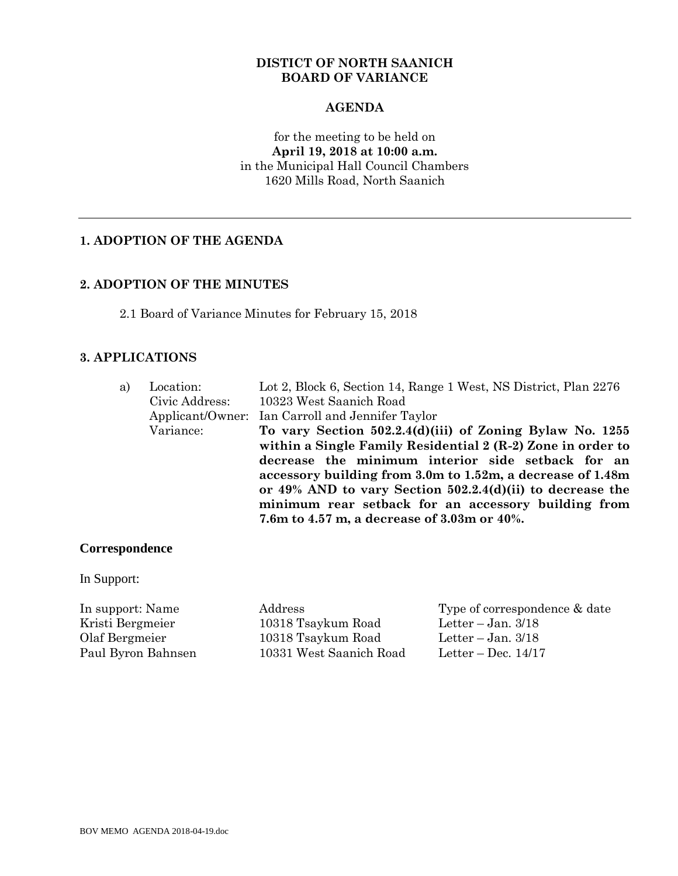#### **DISTICT OF NORTH SAANICH BOARD OF VARIANCE**

#### **AGENDA**

for the meeting to be held on **April 19, 2018 at 10:00 a.m.** in the Municipal Hall Council Chambers 1620 Mills Road, North Saanich

## **1. ADOPTION OF THE AGENDA**

#### **2. ADOPTION OF THE MINUTES**

2.1 Board of Variance Minutes for February 15, 2018

#### **3. APPLICATIONS**

| a) | Location:      | Lot 2, Block 6, Section 14, Range 1 West, NS District, Plan 2276 |
|----|----------------|------------------------------------------------------------------|
|    | Civic Address: | 10323 West Saanich Road                                          |
|    |                | Applicant/Owner: Ian Carroll and Jennifer Taylor                 |
|    | Variance:      | To vary Section 502.2.4(d)(iii) of Zoning Bylaw No. 1255         |
|    |                | within a Single Family Residential 2 (R-2) Zone in order to      |
|    |                | decrease the minimum interior side setback for an                |
|    |                | accessory building from 3.0m to 1.52m, a decrease of 1.48m       |
|    |                | or $49\%$ AND to vary Section 502.2.4(d)(ii) to decrease the     |
|    |                | minimum rear setback for an accessory building from              |
|    |                | 7.6m to 4.57 m, a decrease of 3.03m or 40%.                      |
|    |                |                                                                  |

#### **Correspondence**

In Support:

Kristi Bergmeier 10318 Tsaykum Road Letter – Jan. 3/18 Olaf Bergmeier 10318 Tsaykum Road Letter – Jan. 3/18 Paul Byron Bahnsen 10331 West Saanich Road Letter – Dec. 14/17

In support: Name Address Type of correspondence & date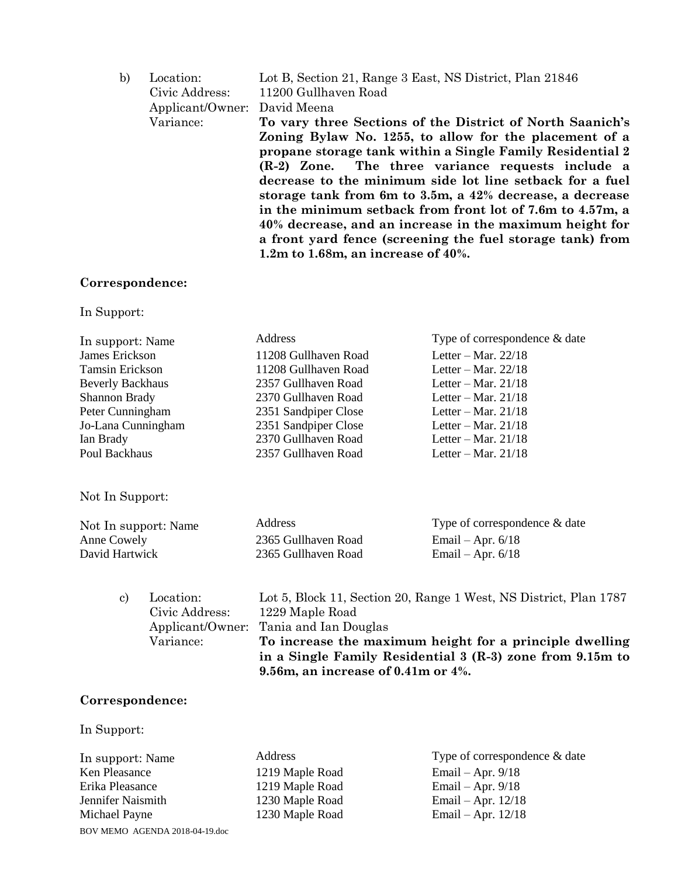| b) | Location:        | Lot B, Section 21, Range 3 East, NS District, Plan 21846                                                                                                                                                                                                                                                                                                                                                                                                                              |
|----|------------------|---------------------------------------------------------------------------------------------------------------------------------------------------------------------------------------------------------------------------------------------------------------------------------------------------------------------------------------------------------------------------------------------------------------------------------------------------------------------------------------|
|    | Civic Address:   | 11200 Gullhaven Road                                                                                                                                                                                                                                                                                                                                                                                                                                                                  |
|    | Applicant/Owner: | David Meena                                                                                                                                                                                                                                                                                                                                                                                                                                                                           |
|    | Variance:        | To vary three Sections of the District of North Saanich's                                                                                                                                                                                                                                                                                                                                                                                                                             |
|    |                  | Zoning Bylaw No. 1255, to allow for the placement of a<br>propane storage tank within a Single Family Residential 2<br>(R-2) Zone. The three variance requests include a<br>decrease to the minimum side lot line setback for a fuel<br>storage tank from 6m to 3.5m, a 42% decrease, a decrease<br>in the minimum setback from front lot of 7.6m to 4.57m, a<br>40% decrease, and an increase in the maximum height for<br>a front yard fence (screening the fuel storage tank) from |
|    |                  | 1.2m to 1.68m, an increase of $40\%$ .                                                                                                                                                                                                                                                                                                                                                                                                                                                |
|    |                  |                                                                                                                                                                                                                                                                                                                                                                                                                                                                                       |

## **Correspondence:**

In Support:

| Address              | Type of correspondence & date |
|----------------------|-------------------------------|
| 11208 Gullhaven Road | Letter – Mar. $22/18$         |
| 11208 Gullhaven Road | Letter – Mar. $22/18$         |
| 2357 Gullhaven Road  | Letter – Mar. $21/18$         |
| 2370 Gullhaven Road  | Letter – Mar. $21/18$         |
| 2351 Sandpiper Close | Letter – Mar. $21/18$         |
| 2351 Sandpiper Close | Letter – Mar. $21/18$         |
| 2370 Gullhaven Road  | Letter – Mar. $21/18$         |
| 2357 Gullhaven Road  | Letter – Mar. $21/18$         |
|                      |                               |
|                      |                               |

Not In Support:

| Not In support: Name | <b>Address</b>      | Type of correspondence & date |
|----------------------|---------------------|-------------------------------|
| Anne Cowely          | 2365 Gullhaven Road | Email – Apr. $6/18$           |
| David Hartwick       | 2365 Gullhaven Road | Email – Apr. $6/18$           |

| $\mathbf{c}$ | Location:      | Lot 5, Block 11, Section 20, Range 1 West, NS District, Plan 1787 |
|--------------|----------------|-------------------------------------------------------------------|
|              | Civic Address: | 1229 Maple Road                                                   |
|              |                | Applicant/Owner: Tania and Ian Douglas                            |
|              | Variance:      | To increase the maximum height for a principle dwelling           |
|              |                | in a Single Family Residential 3 (R-3) zone from 9.15m to         |
|              |                | 9.56m, an increase of 0.41m or $4\%$ .                            |

## **Correspondence:**

In Support:

BOV MEMO AGENDA 2018-04-19.doc Erika Pleasance 1219 Maple Road Email – Apr. 9/18 Jennifer Naismith 1230 Maple Road Email – Apr. 12/18 Michael Payne 1230 Maple Road Email – Apr. 12/18

- 
- In support: Name Address Type of correspondence & date<br>
Ken Pleasance 1219 Maple Road Email Apr. 9/18 Email – Apr.  $9/18$